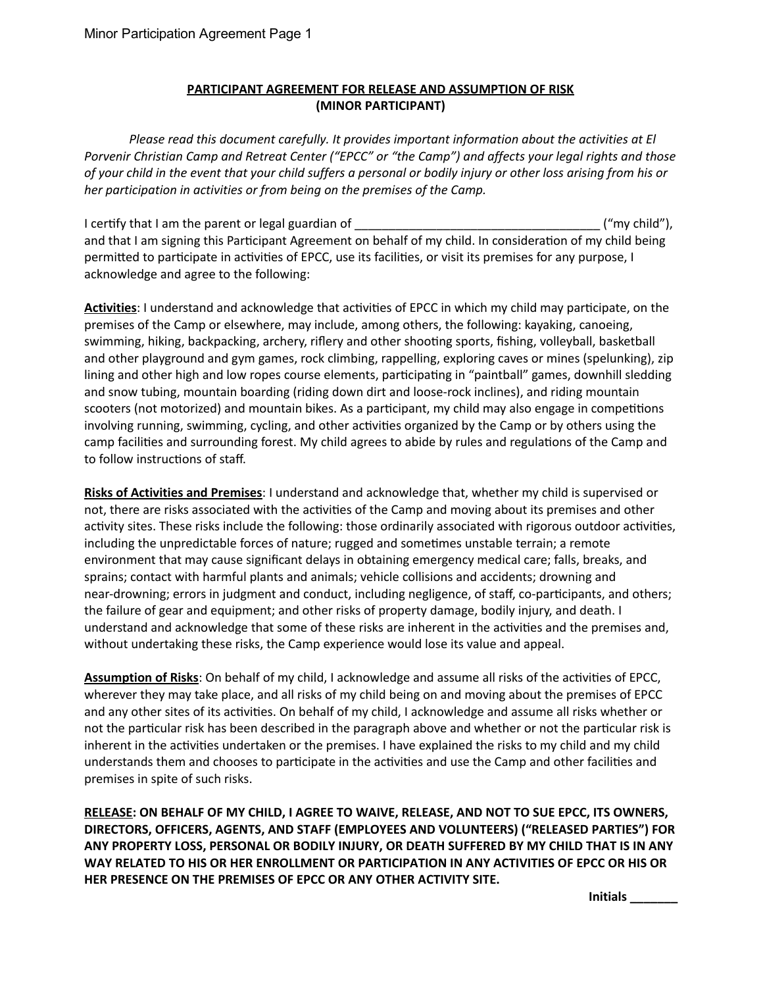## PARTICIPANT AGREEMENT FOR RELEASE AND ASSUMPTION OF RISK (MINOR PARTICIPANT)

Please read this document carefully. It provides important information about the activities at El Porvenir Christian Camp and Retreat Center ("EPCC" or "the Camp") and affects your legal rights and those of your child in the event that your child suffers a personal or bodily injury or other loss arising from his or her participation in activities or from being on the premises of the Camp.

I cerfy that I am the parent or legal guardian of \_\_\_\_\_\_\_\_\_\_\_\_\_\_\_\_\_\_\_\_\_\_\_\_\_\_\_\_\_\_\_\_\_\_\_\_ ("my child"), and that I am signing this Participant Agreement on behalf of my child. In consideration of my child being permitted to participate in activities of EPCC, use its facilities, or visit its premises for any purpose, I acknowledge and agree to the following:

Activities: I understand and acknowledge that activities of EPCC in which my child may participate, on the premises of the Camp or elsewhere, may include, among others, the following: kayaking, canoeing, swimming, hiking, backpacking, archery, riflery and other shooting sports, fishing, volleyball, basketball and other playground and gym games, rock climbing, rappelling, exploring caves or mines (spelunking), zip lining and other high and low ropes course elements, participating in "paintball" games, downhill sledding and snow tubing, mountain boarding (riding down dirt and loose-rock inclines), and riding mountain scooters (not motorized) and mountain bikes. As a participant, my child may also engage in competitions involving running, swimming, cycling, and other activities organized by the Camp or by others using the camp facilities and surrounding forest. My child agrees to abide by rules and regulations of the Camp and to follow instructions of staff.

Risks of Activities and Premises: I understand and acknowledge that, whether my child is supervised or not, there are risks associated with the activities of the Camp and moving about its premises and other activity sites. These risks include the following: those ordinarily associated with rigorous outdoor activities, including the unpredictable forces of nature; rugged and sometimes unstable terrain; a remote environment that may cause significant delays in obtaining emergency medical care; falls, breaks, and sprains; contact with harmful plants and animals; vehicle collisions and accidents; drowning and near-drowning; errors in judgment and conduct, including negligence, of staff, co-participants, and others; the failure of gear and equipment; and other risks of property damage, bodily injury, and death. I understand and acknowledge that some of these risks are inherent in the activities and the premises and, without undertaking these risks, the Camp experience would lose its value and appeal.

Assumption of Risks: On behalf of my child, I acknowledge and assume all risks of the activities of EPCC, wherever they may take place, and all risks of my child being on and moving about the premises of EPCC and any other sites of its activities. On behalf of my child, I acknowledge and assume all risks whether or not the particular risk has been described in the paragraph above and whether or not the particular risk is inherent in the activities undertaken or the premises. I have explained the risks to my child and my child understands them and chooses to participate in the activities and use the Camp and other facilities and premises in spite of such risks.

RELEASE: ON BEHALF OF MY CHILD, I AGREE TO WAIVE, RELEASE, AND NOT TO SUE EPCC, ITS OWNERS, DIRECTORS, OFFICERS, AGENTS, AND STAFF (EMPLOYEES AND VOLUNTEERS) ("RELEASED PARTIES") FOR ANY PROPERTY LOSS, PERSONAL OR BODILY INJURY, OR DEATH SUFFERED BY MY CHILD THAT IS IN ANY WAY RELATED TO HIS OR HER ENROLLMENT OR PARTICIPATION IN ANY ACTIVITIES OF EPCC OR HIS OR HER PRESENCE ON THE PREMISES OF EPCC OR ANY OTHER ACTIVITY SITE.

Initials \_\_\_\_\_\_\_